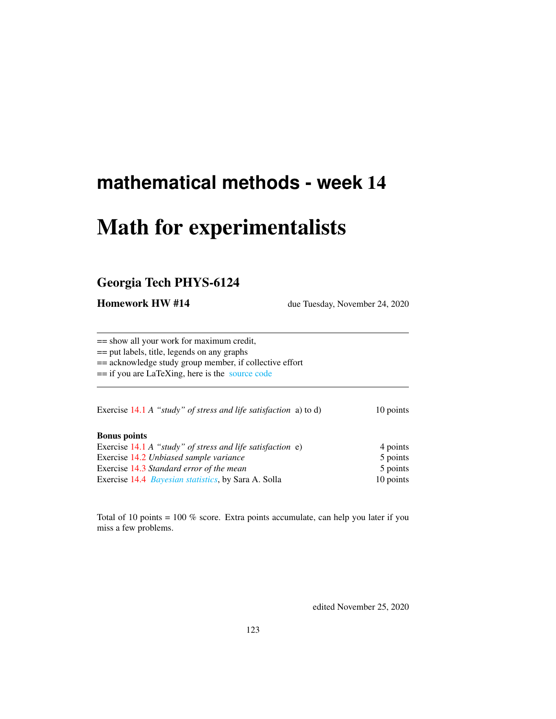# **mathematical methods - week** 14

# Math for experimentalists

# Georgia Tech PHYS-6124

**Homework HW #14** due Tuesday, November 24, 2020

== show all your work for maximum credit,

== put labels, title, legends on any graphs

== acknowledge study group member, if collective effort

== if you are LaTeXing, here is the [source code](http://ChaosBook.org/~predrag/courses/PHYS-6124-20/exerWeek14.tex)

Exercise [14.1](#page-4-0) *A* "*study" of stress and life satisfaction* a) to d) 10 points

#### Bonus points

| Exercise 14.1 A "study" of stress and life satisfaction $e$ ) | 4 points  |
|---------------------------------------------------------------|-----------|
| Exercise 14.2 Unbiased sample variance                        | 5 points  |
| Exercise 14.3 Standard error of the mean                      | 5 points  |
| Exercise 14.4 <i>Bayesian statistics</i> , by Sara A. Solla   | 10 points |

Total of 10 points  $= 100\%$  score. Extra points accumulate, can help you later if you miss a few problems.

edited November 25, 2020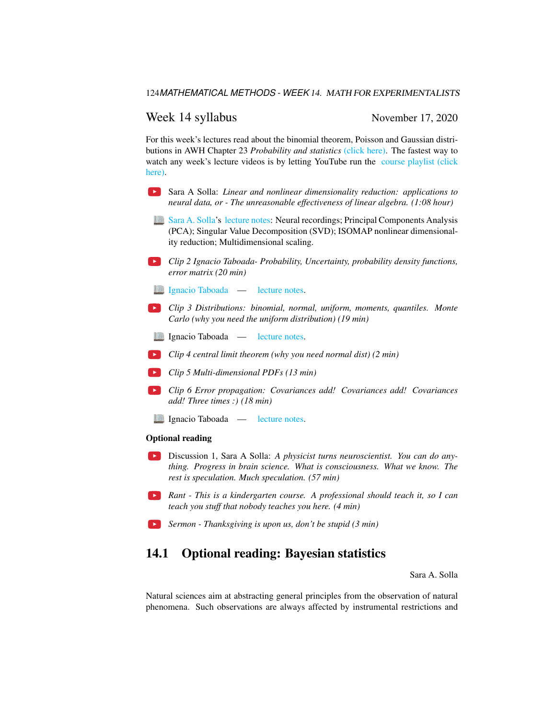### Week 14 syllabus November 17, 2020

For this week's lectures read about the binomial theorem, Poisson and Gaussian distributions in AWH Chapter 23 *Probability and statistics* [\(click here\).](http://ChaosBook.org/library/ArWeHa13chap23.pdf) The fastest way to watch any week's lecture videos is by letting YouTube run the [course playlist \(click](https://www.youtube.com/watch?v=fWf3YwDYriY&list=PLVcaOb64gCp-J115RvfOhE1Yb4s584Mho&index=144) [here\).](https://www.youtube.com/watch?v=fWf3YwDYriY&list=PLVcaOb64gCp-J115RvfOhE1Yb4s584Mho&index=144)

- Sara A Solla: *Linear and nonlinear dimensionality reduction: applications to*  $\rightarrow$ *neural data, or - The unreasonable effectiveness of linear algebra. (1:08 hour)*
- **National [Sara A. Solla'](https://www.feinberg.northwestern.edu/faculty-profiles/az/profile.html?xid=16584)s [lecture notes:](http://ChaosBook.org/~predrag/courses/PHYS-6124-20/GATech_111720.pdf) Neural recordings; Principal Components Analysis** (PCA); Singular Value Decomposition (SVD); ISOMAP nonlinear dimensionality reduction; Multidimensional scaling.
- *Clip 2 Ignacio Taboada- Probability, Uncertainty, probability density functions, error matrix (20 min)*
- **[Ignacio Taboada](http://www.taboada.gatech.edu/)** [lecture notes.](http://ChaosBook.org/~predrag/courses/PHYS-6124-20/Probability_and_uncertainty_1.pdf)
- *Clip 3 Distributions: binomial, normal, uniform, moments, quantiles. Monte Carlo (why you need the uniform distribution) (19 min)*
- Ignacio Taboada [lecture notes.](http://ChaosBook.org/~predrag/courses/PHYS-6124-20/Distributions.pdf)
- *Clip 4 central limit theorem (why you need normal dist) (2 min)*
- *Clip 5 Multi-dimensional PDFs (13 min)*
- *Clip 6 Error propagation: Covariances add! Covariances add! Covariances add! Three times :) (18 min)*
- Ignacio Taboada [lecture notes.](http://ChaosBook.org/~predrag/courses/PHYS-6124-20/Multi-Dpdf.pdf)

#### Optional reading

- Discussion 1, Sara A Solla: *A physicist turns neuroscientist. You can do anything. Progress in brain science. What is consciousness. What we know. The rest is speculation. Much speculation. (57 min)*
- *Rant This is a kindergarten course. A professional should teach it, so I can teach you stuff that nobody teaches you here. (4 min)*
- *Sermon Thanksgiving is upon us, don't be stupid (3 min)*

# 14.1 Optional reading: Bayesian statistics

Sara A. Solla

Natural sciences aim at abstracting general principles from the observation of natural phenomena. Such observations are always affected by instrumental restrictions and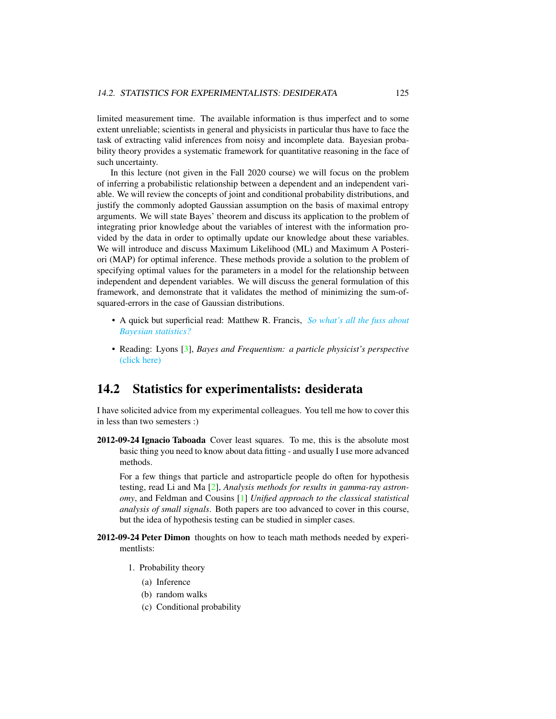limited measurement time. The available information is thus imperfect and to some extent unreliable; scientists in general and physicists in particular thus have to face the task of extracting valid inferences from noisy and incomplete data. Bayesian probability theory provides a systematic framework for quantitative reasoning in the face of such uncertainty.

In this lecture (not given in the Fall 2020 course) we will focus on the problem of inferring a probabilistic relationship between a dependent and an independent variable. We will review the concepts of joint and conditional probability distributions, and justify the commonly adopted Gaussian assumption on the basis of maximal entropy arguments. We will state Bayes' theorem and discuss its application to the problem of integrating prior knowledge about the variables of interest with the information provided by the data in order to optimally update our knowledge about these variables. We will introduce and discuss Maximum Likelihood (ML) and Maximum A Posteriori (MAP) for optimal inference. These methods provide a solution to the problem of specifying optimal values for the parameters in a model for the relationship between independent and dependent variables. We will discuss the general formulation of this framework, and demonstrate that it validates the method of minimizing the sum-ofsquared-errors in the case of Gaussian distributions.

- A quick but superficial read: Matthew R. Francis, *[So what's all the fuss about](http://galileospendulum.org/2013/06/07/so-whats-all-the-fuss-about-bayesian-statistics/) [Bayesian statistics?](http://galileospendulum.org/2013/06/07/so-whats-all-the-fuss-about-bayesian-statistics/)*
- Reading: Lyons [\[3\]](#page-4-1), *Bayes and Frequentism: a particle physicist's perspective* [\(click here\)](http://ChaosBook.org/library/Lyons13.pdf)

## 14.2 Statistics for experimentalists: desiderata

I have solicited advice from my experimental colleagues. You tell me how to cover this in less than two semesters :)

2012-09-24 Ignacio Taboada Cover least squares. To me, this is the absolute most basic thing you need to know about data fitting - and usually I use more advanced methods.

For a few things that particle and astroparticle people do often for hypothesis testing, read Li and Ma [\[2\]](#page-4-2), *Analysis methods for results in gamma-ray astronomy*, and Feldman and Cousins [\[1\]](#page-4-3) *Unified approach to the classical statistical analysis of small signals*. Both papers are too advanced to cover in this course, but the idea of hypothesis testing can be studied in simpler cases.

- 2012-09-24 Peter Dimon thoughts on how to teach math methods needed by experimentlists:
	- 1. Probability theory
		- (a) Inference
		- (b) random walks
		- (c) Conditional probability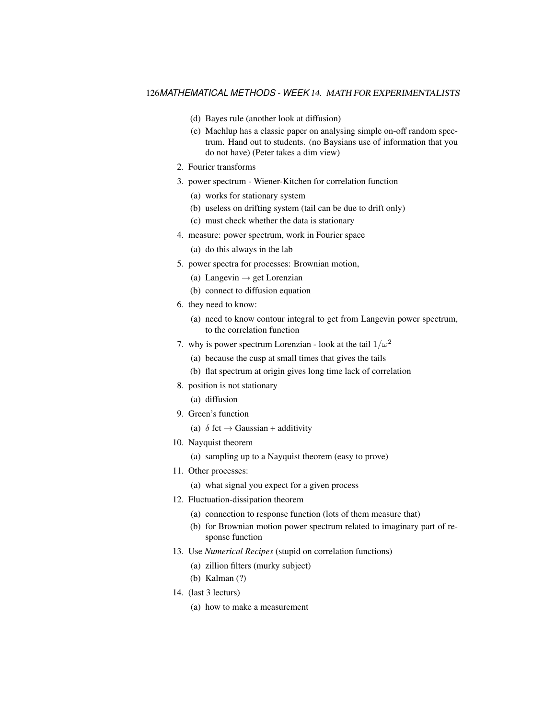#### 126*MATHEMATICAL METHODS - WEEK* 14. MATH FOR EXPERIMENTALISTS

- (d) Bayes rule (another look at diffusion)
- (e) Machlup has a classic paper on analysing simple on-off random spectrum. Hand out to students. (no Baysians use of information that you do not have) (Peter takes a dim view)
- 2. Fourier transforms
- 3. power spectrum Wiener-Kitchen for correlation function
	- (a) works for stationary system
	- (b) useless on drifting system (tail can be due to drift only)
	- (c) must check whether the data is stationary
- 4. measure: power spectrum, work in Fourier space
	- (a) do this always in the lab
- 5. power spectra for processes: Brownian motion,
	- (a) Langevin  $\rightarrow$  get Lorenzian
	- (b) connect to diffusion equation
- 6. they need to know:
	- (a) need to know contour integral to get from Langevin power spectrum, to the correlation function
- 7. why is power spectrum Lorenzian look at the tail  $1/\omega^2$ 
	- (a) because the cusp at small times that gives the tails
	- (b) flat spectrum at origin gives long time lack of correlation
- 8. position is not stationary
	- (a) diffusion
- 9. Green's function
	- (a)  $\delta$  fct  $\rightarrow$  Gaussian + additivity
- 10. Nayquist theorem
	- (a) sampling up to a Nayquist theorem (easy to prove)
- 11. Other processes:
	- (a) what signal you expect for a given process
- 12. Fluctuation-dissipation theorem
	- (a) connection to response function (lots of them measure that)
	- (b) for Brownian motion power spectrum related to imaginary part of response function
- 13. Use *Numerical Recipes* (stupid on correlation functions)
	- (a) zillion filters (murky subject)
	- (b) Kalman (?)
- 14. (last 3 lecturs)
	- (a) how to make a measurement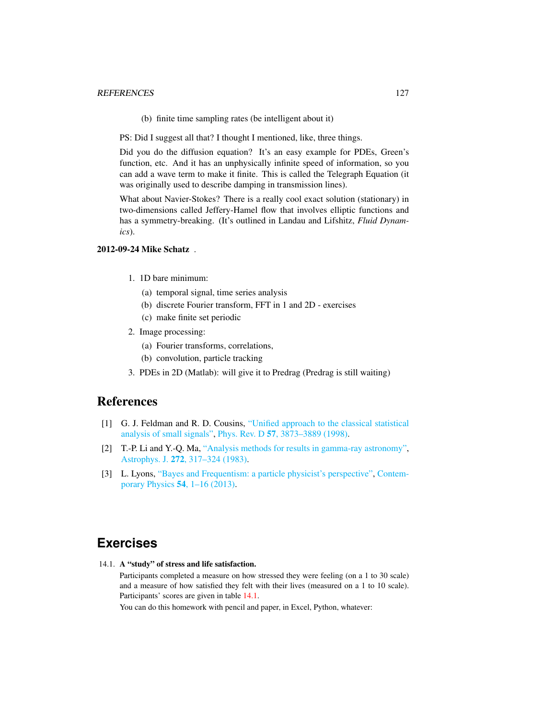(b) finite time sampling rates (be intelligent about it)

PS: Did I suggest all that? I thought I mentioned, like, three things.

Did you do the diffusion equation? It's an easy example for PDEs, Green's function, etc. And it has an unphysically infinite speed of information, so you can add a wave term to make it finite. This is called the Telegraph Equation (it was originally used to describe damping in transmission lines).

What about Navier-Stokes? There is a really cool exact solution (stationary) in two-dimensions called Jeffery-Hamel flow that involves elliptic functions and has a symmetry-breaking. (It's outlined in Landau and Lifshitz, *Fluid Dynamics*).

#### 2012-09-24 Mike Schatz .

- 1. 1D bare minimum:
	- (a) temporal signal, time series analysis
	- (b) discrete Fourier transform, FFT in 1 and 2D exercises
	- (c) make finite set periodic
- 2. Image processing:
	- (a) Fourier transforms, correlations,
	- (b) convolution, particle tracking
- 3. PDEs in 2D (Matlab): will give it to Predrag (Predrag is still waiting)

## References

- <span id="page-4-3"></span>[1] G. J. Feldman and R. D. Cousins, ["Unified approach to the classical statistical](http://dx.doi.org/10.1103/PhysRevD.57.3873) [analysis of small signals",](http://dx.doi.org/10.1103/PhysRevD.57.3873) Phys. Rev. D 57[, 3873–3889 \(1998\).](https://doi.org/10.1103/PhysRevD.57.3873)
- <span id="page-4-2"></span>[2] T.-P. Li and Y.-Q. Ma, ["Analysis methods for results in gamma-ray astronomy",](http://dx.doi.org/10.1086/161295) Astrophys. J. 272[, 317–324 \(1983\).](https://doi.org/10.1086/161295)
- <span id="page-4-1"></span>[3] L. Lyons, ["Bayes and Frequentism: a particle physicist's perspective",](http://dx.doi.org/10.1080/00107514.2012.756312) [Contem](https://doi.org/10.1080/00107514.2012.756312)[porary Physics](https://doi.org/10.1080/00107514.2012.756312) 54, 1–16 (2013).

# **Exercises**

<span id="page-4-0"></span>14.1. A "study" of stress and life satisfaction.

Participants completed a measure on how stressed they were feeling (on a 1 to 30 scale) and a measure of how satisfied they felt with their lives (measured on a 1 to 10 scale). Participants' scores are given in table [14.1.](#page-5-1)

You can do this homework with pencil and paper, in Excel, Python, whatever: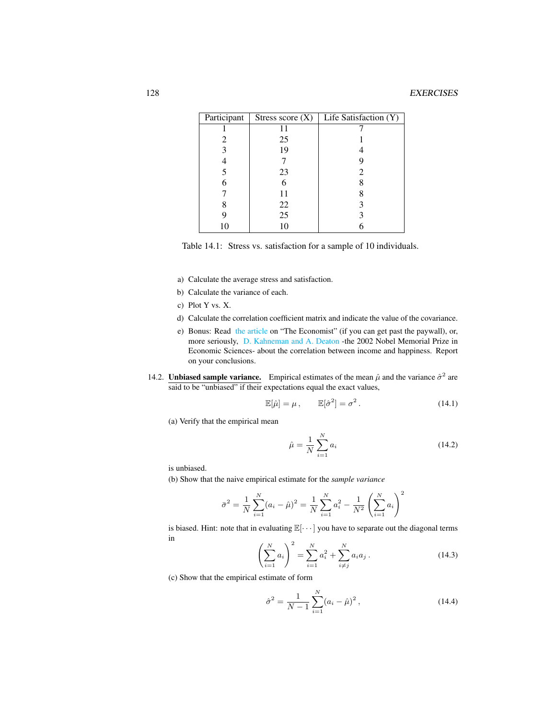| Participant | Stress score $(X)$ | Life Satisfaction (Y) |
|-------------|--------------------|-----------------------|
|             |                    |                       |
| 2           | 25                 |                       |
| 3           | 19                 |                       |
|             |                    |                       |
| 5           | 23                 |                       |
| 6           |                    |                       |
|             | 11                 |                       |
|             | 22                 |                       |
| 9           | 25                 |                       |
|             | 10                 |                       |

<span id="page-5-1"></span>Table 14.1: Stress vs. satisfaction for a sample of 10 individuals.

- a) Calculate the average stress and satisfaction.
- b) Calculate the variance of each.
- c) Plot Y vs. X.
- d) Calculate the correlation coefficient matrix and indicate the value of the covariance.
- e) Bonus: Read [the article](https://www.economist.com/graphic-detail/2013/05/02/money-can-buy-happiness) on "The Economist" (if you can get past the paywall), or, more seriously, [D. Kahneman and A. Deaton](https://www.pnas.org/content/107/38/16489.full) -the 2002 Nobel Memorial Prize in Economic Sciences- about the correlation between income and happiness. Report on your conclusions.
- <span id="page-5-0"></span>14.2. **Unbiased sample variance.** Empirical estimates of the mean  $\hat{\mu}$  and the variance  $\hat{\sigma}^2$  are said to be "unbiased" if their expectations equal the exact values,

<span id="page-5-3"></span>
$$
\mathbb{E}[\hat{\mu}] = \mu, \qquad \mathbb{E}[\hat{\sigma}^2] = \sigma^2. \tag{14.1}
$$

(a) Verify that the empirical mean

<span id="page-5-2"></span>
$$
\hat{\mu} = \frac{1}{N} \sum_{i=1}^{N} a_i
$$
\n(14.2)

is unbiased.

(b) Show that the naive empirical estimate for the *sample variance*

$$
\bar{\sigma}^2 = \frac{1}{N} \sum_{i=1}^{N} (a_i - \hat{\mu})^2 = \frac{1}{N} \sum_{i=1}^{N} a_i^2 - \frac{1}{N^2} \left( \sum_{i=1}^{N} a_i \right)^2
$$

is biased. Hint: note that in evaluating  $\mathbb{E}[\cdots]$  you have to separate out the diagonal terms in

$$
\left(\sum_{i=1}^{N} a_i\right)^2 = \sum_{i=1}^{N} a_i^2 + \sum_{i \neq j}^{N} a_i a_j.
$$
 (14.3)

(c) Show that the empirical estimate of form

$$
\hat{\sigma}^2 = \frac{1}{N-1} \sum_{i=1}^{N} (a_i - \hat{\mu})^2, \qquad (14.4)
$$